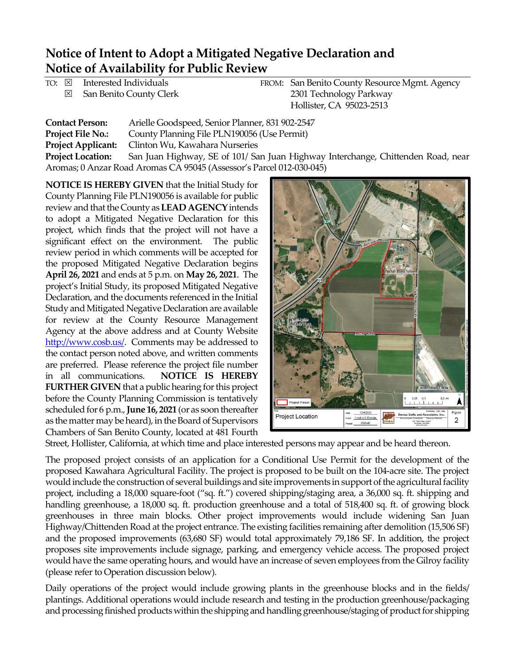## **Notice of Intent to Adopt a Mitigated Negative Declaration and Notice of Availability for Public Review**

|              | TO: ⊠ Interested Individuals | FROM: San Benito County Resource Mgmt. Agency |
|--------------|------------------------------|-----------------------------------------------|
| $\mathbb{X}$ | San Benito County Clerk      | 2301 Technology Parkway                       |
|              |                              | Hollister, CA 95023-2513                      |

| <b>Contact Person:</b>                                               | Arielle Goodspeed, Senior Planner, 831 902-2547                                  |  |  |  |  |
|----------------------------------------------------------------------|----------------------------------------------------------------------------------|--|--|--|--|
| <b>Project File No.:</b>                                             | County Planning File PLN190056 (Use Permit)                                      |  |  |  |  |
| <b>Project Applicant:</b>                                            | Clinton Wu, Kawahara Nurseries                                                   |  |  |  |  |
| <b>Project Location:</b>                                             | San Juan Highway, SE of 101/ San Juan Highway Interchange, Chittenden Road, near |  |  |  |  |
| Aromas; 0 Anzar Road Aromas CA 95045 (Assessor's Parcel 012-030-045) |                                                                                  |  |  |  |  |

**NOTICE IS HEREBY GIVEN** that the Initial Study for County Planning File PLN190056 is available for public review and that the County as **LEAD AGENCY**intends to adopt a Mitigated Negative Declaration for this project, which finds that the project will not have a significant effect on the environment. The public review period in which comments will be accepted for the proposed Mitigated Negative Declaration begins **April 26, 2021** and ends at 5 p.m. on **May 26, 2021**. The project's Initial Study, its proposed Mitigated Negative Declaration, and the documents referenced in the Initial Study and Mitigated Negative Declaration are available for review at the County Resource Management Agency at the above address and at County Website [http://www.cosb.us/.](http://www.cosb.us/) Comments may be addressed to the contact person noted above, and written comments are preferred. Please reference the project file number in all communications. **NOTICE IS HEREBY FURTHER GIVEN** that a public hearing for this project before the County Planning Commission is tentatively scheduled for 6 p.m., **June 16, 2021** (or as soon thereafter as the matter may be heard), in the Board of Supervisors Chambers of San Benito County, located at 481 Fourth



Street, Hollister, California, at which time and place interested persons may appear and be heard thereon.

The proposed project consists of an application for a Conditional Use Permit for the development of the proposed Kawahara Agricultural Facility. The project is proposed to be built on the 104-acre site. The project would include the construction of several buildings and site improvements in support of the agricultural facility project, including a 18,000 square-foot ("sq. ft.") covered shipping/staging area, a 36,000 sq. ft. shipping and handling greenhouse, a 18,000 sq. ft. production greenhouse and a total of 518,400 sq. ft. of growing block greenhouses in three main blocks. Other project improvements would include widening San Juan Highway/Chittenden Road at the project entrance. The existing facilities remaining after demolition (15,506 SF) and the proposed improvements (63,680 SF) would total approximately 79,186 SF. In addition, the project proposes site improvements include signage, parking, and emergency vehicle access. The proposed project would have the same operating hours, and would have an increase of seven employees from the Gilroy facility (please refer to Operation discussion below).

Daily operations of the project would include growing plants in the greenhouse blocks and in the fields/ plantings. Additional operations would include research and testing in the production greenhouse/packaging and processing finished products within the shipping and handling greenhouse/staging of product for shipping